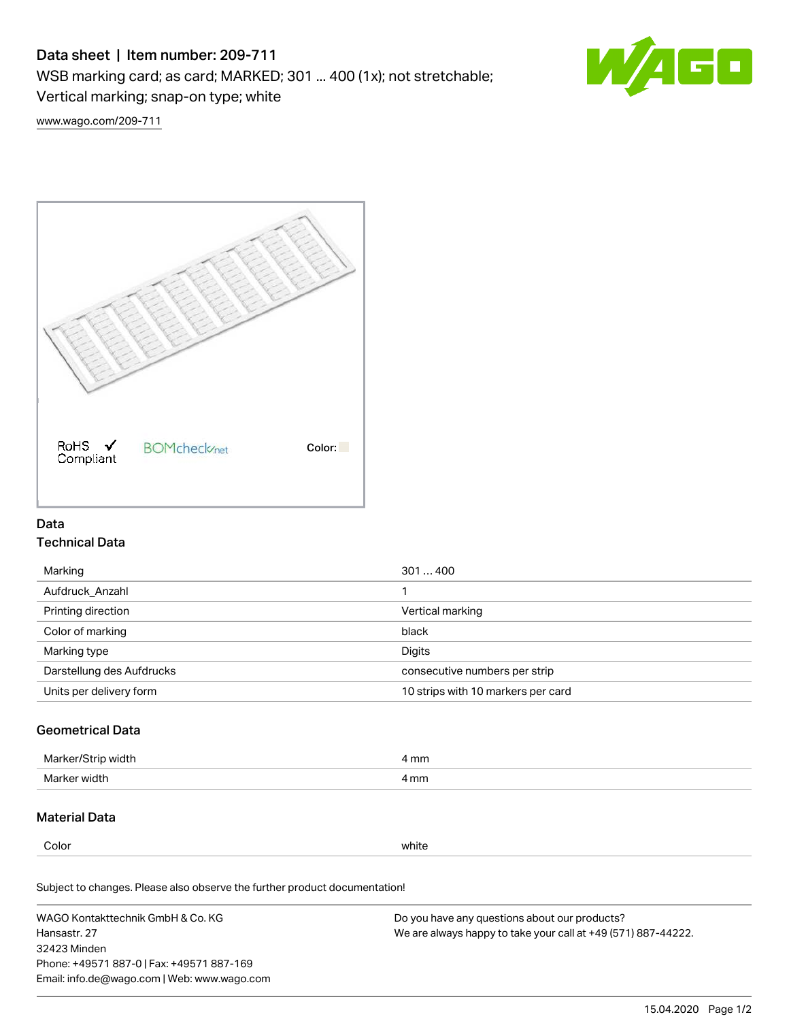# Data sheet | Item number: 209-711

WSB marking card; as card; MARKED; 301 ... 400 (1x); not stretchable;

Vertical marking; snap-on type; white



[www.wago.com/209-711](http://www.wago.com/209-711)



### Data Technical Data

| 301400                             |
|------------------------------------|
|                                    |
| Vertical marking                   |
| black                              |
| Digits                             |
| consecutive numbers per strip      |
| 10 strips with 10 markers per card |
|                                    |

## Geometrical Data

| Marker<br>∘width. | l mm |
|-------------------|------|
| Marker width      | 4 mm |

### Material Data

Color white

Subject to changes. Please also observe the further product documentation!

WAGO Kontakttechnik GmbH & Co. KG Hansastr. 27 32423 Minden Phone: +49571 887-0 | Fax: +49571 887-169 Email: info.de@wago.com | Web: www.wago.com Do you have any questions about our products? We are always happy to take your call at +49 (571) 887-44222.